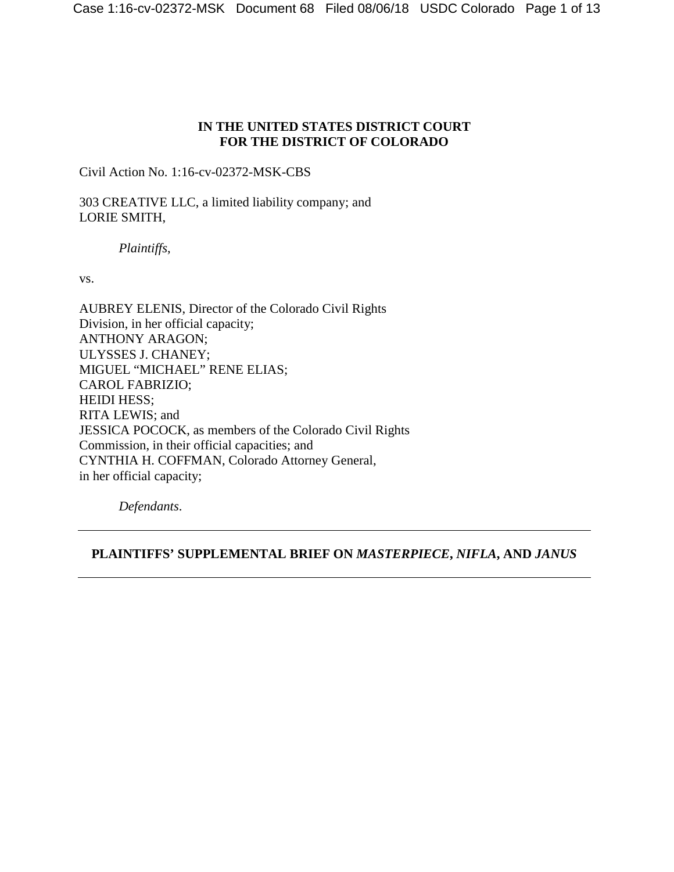## **IN THE UNITED STATES DISTRICT COURT FOR THE DISTRICT OF COLORADO**

Civil Action No. 1:16-cv-02372-MSK-CBS

303 CREATIVE LLC, a limited liability company; and LORIE SMITH,

*Plaintiffs*,

vs.

AUBREY ELENIS, Director of the Colorado Civil Rights Division, in her official capacity; ANTHONY ARAGON; ULYSSES J. CHANEY; MIGUEL "MICHAEL" RENE ELIAS; CAROL FABRIZIO; HEIDI HESS; RITA LEWIS; and JESSICA POCOCK, as members of the Colorado Civil Rights Commission, in their official capacities; and CYNTHIA H. COFFMAN, Colorado Attorney General, in her official capacity;

*Defendants*.

## **PLAINTIFFS' SUPPLEMENTAL BRIEF ON** *MASTERPIECE***,** *NIFLA***, AND** *JANUS*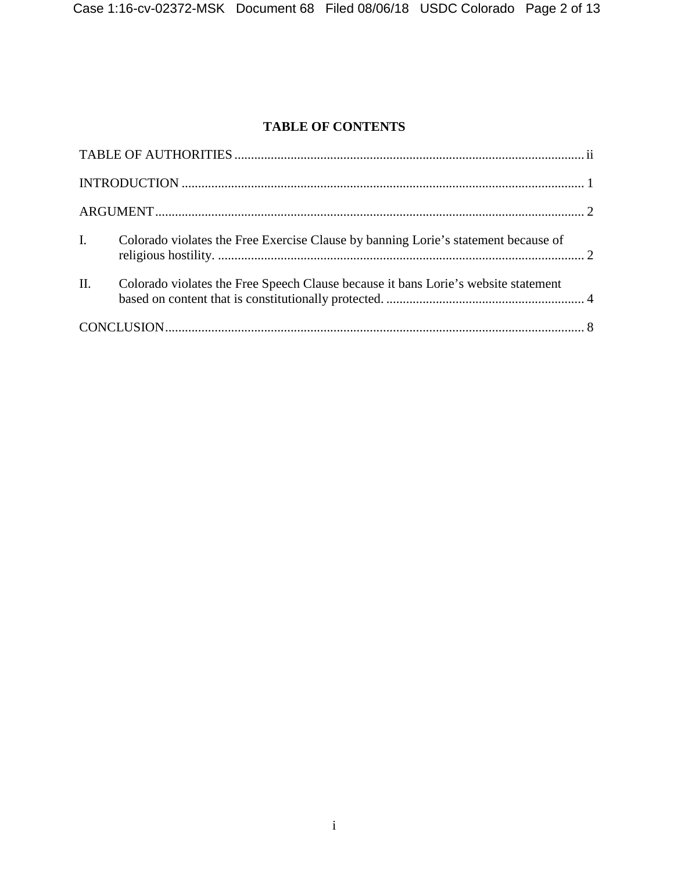# **TABLE OF CONTENTS**

| $\mathbf{I}$ .  | Colorado violates the Free Exercise Clause by banning Lorie's statement because of |  |  |
|-----------------|------------------------------------------------------------------------------------|--|--|
| $\mathbf{II}$ . | Colorado violates the Free Speech Clause because it bans Lorie's website statement |  |  |
|                 |                                                                                    |  |  |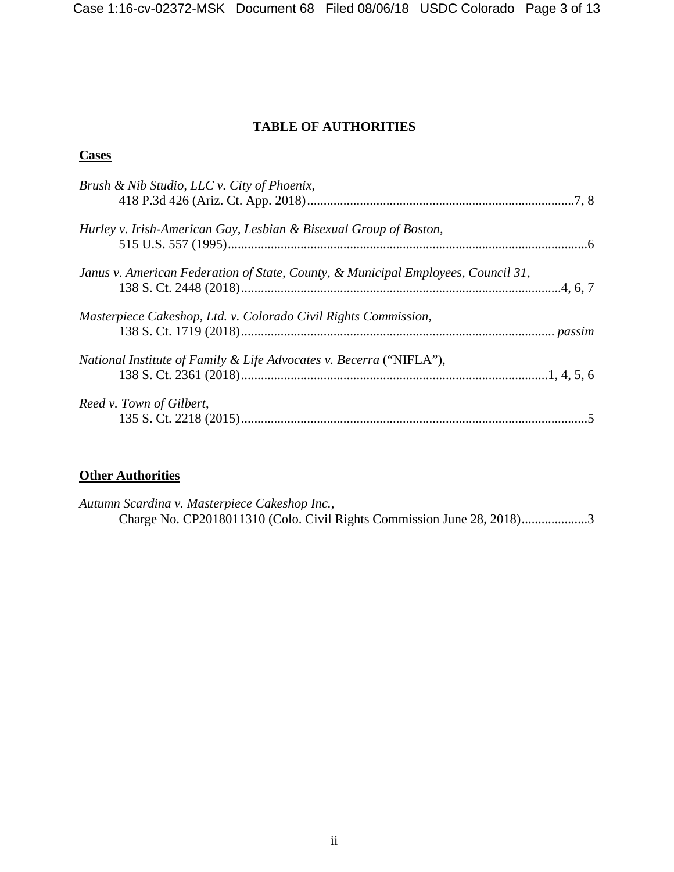## **TABLE OF AUTHORITIES**

## **Cases**

| Brush & Nib Studio, LLC v. City of Phoenix,                                       |  |
|-----------------------------------------------------------------------------------|--|
| Hurley v. Irish-American Gay, Lesbian & Bisexual Group of Boston,                 |  |
| Janus v. American Federation of State, County, & Municipal Employees, Council 31, |  |
| Masterpiece Cakeshop, Ltd. v. Colorado Civil Rights Commission,                   |  |
| National Institute of Family & Life Advocates v. Becerra ("NIFLA"),               |  |
| Reed v. Town of Gilbert,                                                          |  |

## **Other Authorities**

*Autumn Scardina v. Masterpiece Cakeshop Inc.*, Charge No. CP2018011310 (Colo. Civil Rights Commission June 28, 2018)....................3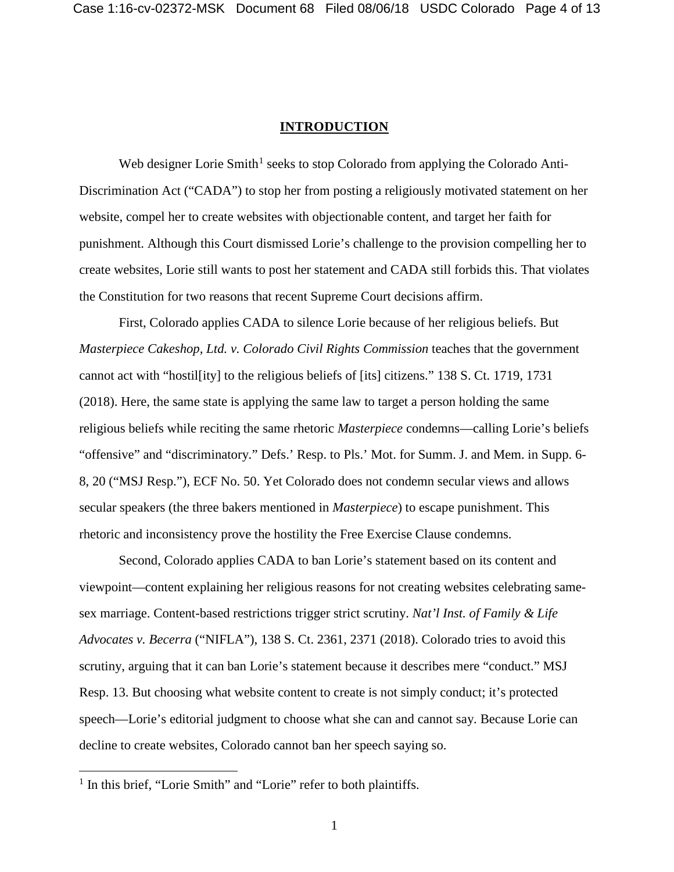#### **INTRODUCTION**

Web designer Lorie Smith<sup>1</sup> seeks to stop Colorado from applying the Colorado Anti-Discrimination Act ("CADA") to stop her from posting a religiously motivated statement on her website, compel her to create websites with objectionable content, and target her faith for punishment. Although this Court dismissed Lorie's challenge to the provision compelling her to create websites, Lorie still wants to post her statement and CADA still forbids this. That violates the Constitution for two reasons that recent Supreme Court decisions affirm.

First, Colorado applies CADA to silence Lorie because of her religious beliefs. But *Masterpiece Cakeshop, Ltd. v. Colorado Civil Rights Commission teaches that the government* cannot act with "hostil[ity] to the religious beliefs of [its] citizens." 138 S. Ct. 1719, 1731 (2018). Here, the same state is applying the same law to target a person holding the same religious beliefs while reciting the same rhetoric *Masterpiece* condemns—calling Lorie's beliefs "offensive" and "discriminatory." Defs.' Resp. to Pls.' Mot. for Summ. J. and Mem. in Supp. 6- 8, 20 ("MSJ Resp."), ECF No. 50. Yet Colorado does not condemn secular views and allows secular speakers (the three bakers mentioned in *Masterpiece*) to escape punishment. This rhetoric and inconsistency prove the hostility the Free Exercise Clause condemns.

Second, Colorado applies CADA to ban Lorie's statement based on its content and viewpoint—content explaining her religious reasons for not creating websites celebrating samesex marriage. Content-based restrictions trigger strict scrutiny. *Nat'l Inst. of Family & Life Advocates v. Becerra* ("NIFLA"), 138 S. Ct. 2361, 2371 (2018). Colorado tries to avoid this scrutiny, arguing that it can ban Lorie's statement because it describes mere "conduct." MSJ Resp. 13. But choosing what website content to create is not simply conduct; it's protected speech—Lorie's editorial judgment to choose what she can and cannot say. Because Lorie can decline to create websites, Colorado cannot ban her speech saying so.

<sup>&</sup>lt;sup>1</sup> In this brief, "Lorie Smith" and "Lorie" refer to both plaintiffs.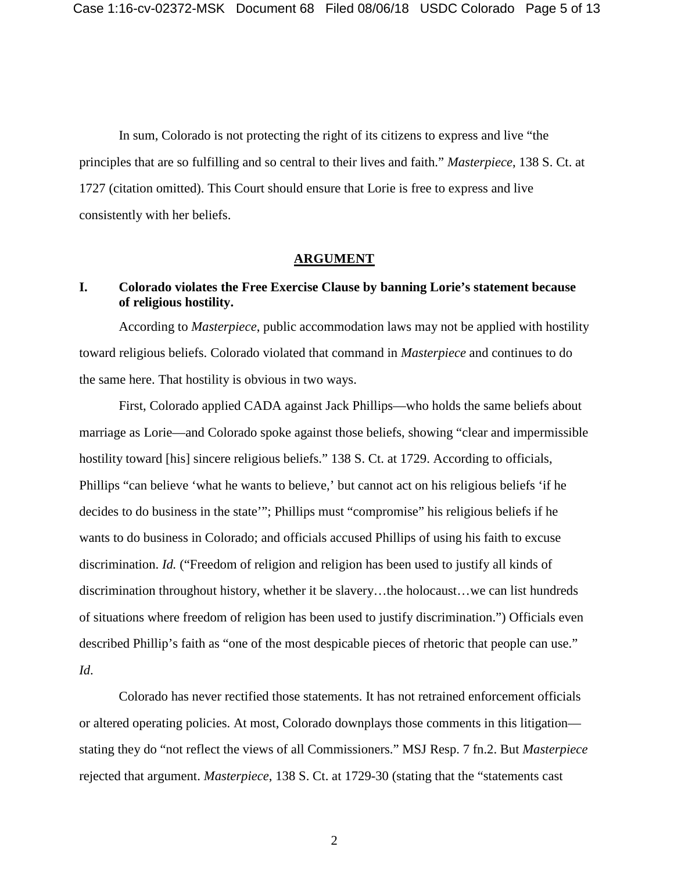In sum, Colorado is not protecting the right of its citizens to express and live "the principles that are so fulfilling and so central to their lives and faith." *Masterpiece*, 138 S. Ct. at 1727 (citation omitted). This Court should ensure that Lorie is free to express and live consistently with her beliefs.

#### **ARGUMENT**

## **I. Colorado violates the Free Exercise Clause by banning Lorie's statement because of religious hostility.**

According to *Masterpiece*, public accommodation laws may not be applied with hostility toward religious beliefs. Colorado violated that command in *Masterpiece* and continues to do the same here. That hostility is obvious in two ways.

First, Colorado applied CADA against Jack Phillips—who holds the same beliefs about marriage as Lorie—and Colorado spoke against those beliefs, showing "clear and impermissible hostility toward [his] sincere religious beliefs." 138 S. Ct. at 1729. According to officials, Phillips "can believe 'what he wants to believe,' but cannot act on his religious beliefs 'if he decides to do business in the state'"; Phillips must "compromise" his religious beliefs if he wants to do business in Colorado; and officials accused Phillips of using his faith to excuse discrimination. *Id.* ("Freedom of religion and religion has been used to justify all kinds of discrimination throughout history, whether it be slavery…the holocaust…we can list hundreds of situations where freedom of religion has been used to justify discrimination.") Officials even described Phillip's faith as "one of the most despicable pieces of rhetoric that people can use." *Id*.

Colorado has never rectified those statements. It has not retrained enforcement officials or altered operating policies. At most, Colorado downplays those comments in this litigation stating they do "not reflect the views of all Commissioners." MSJ Resp. 7 fn.2. But *Masterpiece* rejected that argument. *Masterpiece*, 138 S. Ct. at 1729-30 (stating that the "statements cast

2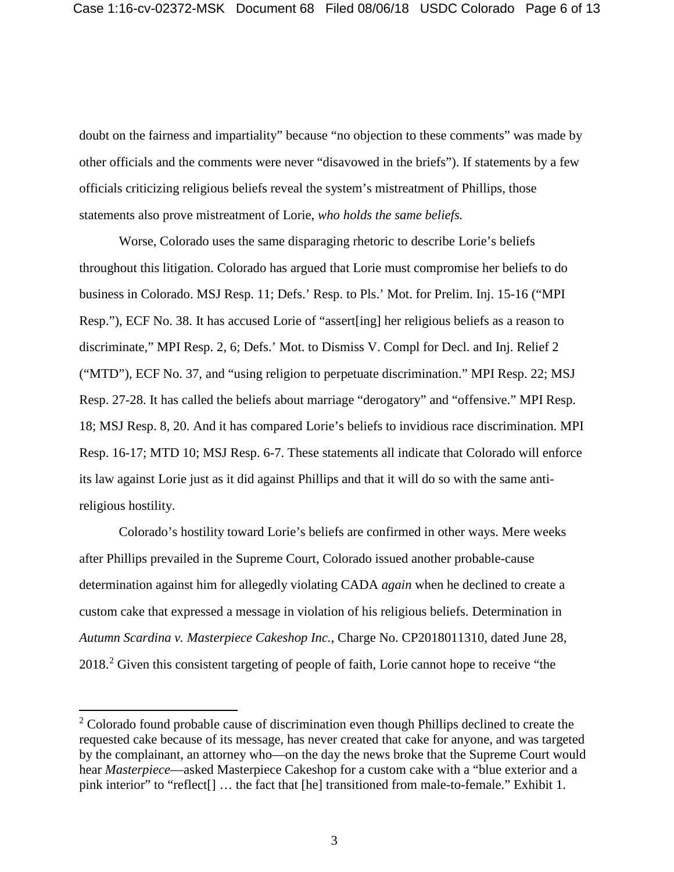doubt on the fairness and impartiality" because "no objection to these comments" was made by other officials and the comments were never "disavowed in the briefs"). If statements by a few officials criticizing religious beliefs reveal the system's mistreatment of Phillips, those statements also prove mistreatment of Lorie, *who holds the same beliefs.*

Worse, Colorado uses the same disparaging rhetoric to describe Lorie's beliefs throughout this litigation. Colorado has argued that Lorie must compromise her beliefs to do business in Colorado. MSJ Resp. 11; Defs.' Resp. to Pls.' Mot. for Prelim. Inj. 15-16 ("MPI Resp."), ECF No. 38. It has accused Lorie of "assert[ing] her religious beliefs as a reason to discriminate," MPI Resp. 2, 6; Defs.' Mot. to Dismiss V. Compl for Decl. and Inj. Relief 2 ("MTD"), ECF No. 37, and "using religion to perpetuate discrimination." MPI Resp. 22; MSJ Resp. 27-28. It has called the beliefs about marriage "derogatory" and "offensive." MPI Resp. 18; MSJ Resp. 8, 20. And it has compared Lorie's beliefs to invidious race discrimination. MPI Resp. 16-17; MTD 10; MSJ Resp. 6-7. These statements all indicate that Colorado will enforce its law against Lorie just as it did against Phillips and that it will do so with the same antireligious hostility.

Colorado's hostility toward Lorie's beliefs are confirmed in other ways. Mere weeks after Phillips prevailed in the Supreme Court, Colorado issued another probable-cause determination against him for allegedly violating CADA *again* when he declined to create a custom cake that expressed a message in violation of his religious beliefs. Determination in *Autumn Scardina v. Masterpiece Cakeshop Inc.*, Charge No. CP2018011310, dated June 28, 2018<sup>2</sup> Given this consistent targeting of people of faith, Lorie cannot hope to receive "the

 $2$  Colorado found probable cause of discrimination even though Phillips declined to create the requested cake because of its message, has never created that cake for anyone, and was targeted by the complainant, an attorney who—on the day the news broke that the Supreme Court would hear *Masterpiece*—asked Masterpiece Cakeshop for a custom cake with a "blue exterior and a pink interior" to "reflect[] … the fact that [he] transitioned from male-to-female." Exhibit 1.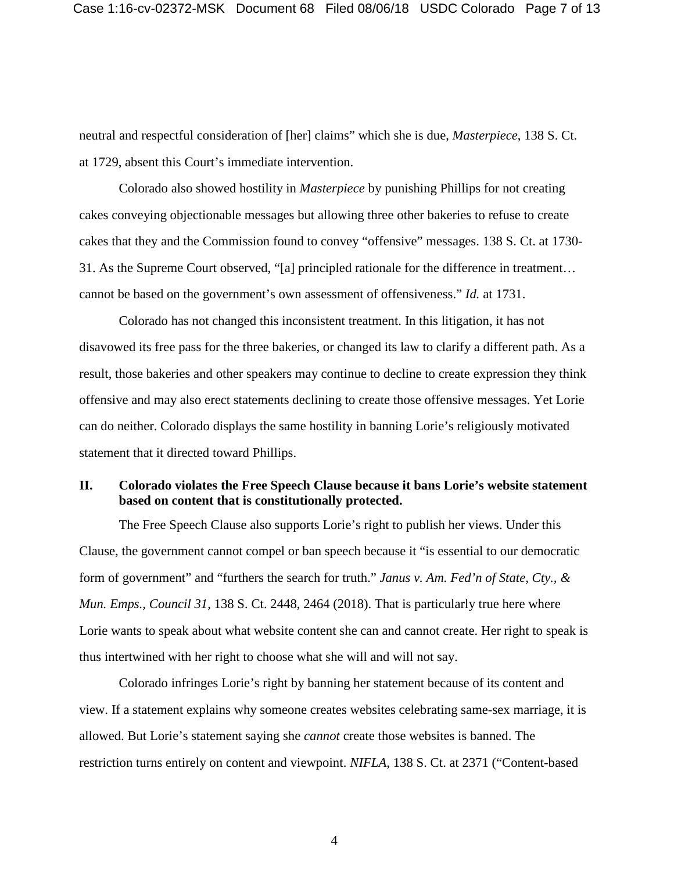neutral and respectful consideration of [her] claims" which she is due, *Masterpiece*, 138 S. Ct. at 1729, absent this Court's immediate intervention.

Colorado also showed hostility in *Masterpiece* by punishing Phillips for not creating cakes conveying objectionable messages but allowing three other bakeries to refuse to create cakes that they and the Commission found to convey "offensive" messages. 138 S. Ct. at 1730- 31. As the Supreme Court observed, "[a] principled rationale for the difference in treatment… cannot be based on the government's own assessment of offensiveness." *Id.* at 1731.

Colorado has not changed this inconsistent treatment. In this litigation, it has not disavowed its free pass for the three bakeries, or changed its law to clarify a different path. As a result, those bakeries and other speakers may continue to decline to create expression they think offensive and may also erect statements declining to create those offensive messages. Yet Lorie can do neither. Colorado displays the same hostility in banning Lorie's religiously motivated statement that it directed toward Phillips.

## **II. Colorado violates the Free Speech Clause because it bans Lorie's website statement based on content that is constitutionally protected.**

The Free Speech Clause also supports Lorie's right to publish her views. Under this Clause, the government cannot compel or ban speech because it "is essential to our democratic form of government" and "furthers the search for truth." *Janus v. Am. Fed'n of State, Cty., & Mun. Emps., Council 31*, 138 S. Ct. 2448, 2464 (2018). That is particularly true here where Lorie wants to speak about what website content she can and cannot create. Her right to speak is thus intertwined with her right to choose what she will and will not say.

Colorado infringes Lorie's right by banning her statement because of its content and view. If a statement explains why someone creates websites celebrating same-sex marriage, it is allowed. But Lorie's statement saying she *cannot* create those websites is banned. The restriction turns entirely on content and viewpoint. *NIFLA*, 138 S. Ct. at 2371 ("Content-based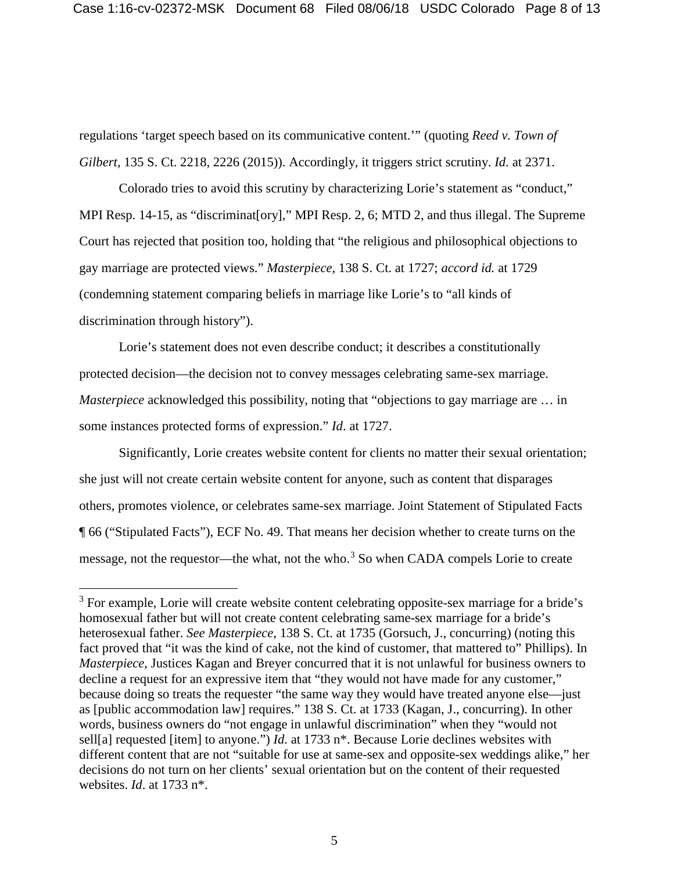regulations 'target speech based on its communicative content.'" (quoting *Reed v. Town of Gilbert*, 135 S. Ct. 2218, 2226 (2015)). Accordingly, it triggers strict scrutiny. *Id*. at 2371.

Colorado tries to avoid this scrutiny by characterizing Lorie's statement as "conduct," MPI Resp. 14-15, as "discriminat[ory]," MPI Resp. 2, 6; MTD 2, and thus illegal. The Supreme Court has rejected that position too, holding that "the religious and philosophical objections to gay marriage are protected views." *Masterpiece*, 138 S. Ct. at 1727; *accord id.* at 1729 (condemning statement comparing beliefs in marriage like Lorie's to "all kinds of discrimination through history").

Lorie's statement does not even describe conduct; it describes a constitutionally protected decision—the decision not to convey messages celebrating same-sex marriage. *Masterpiece* acknowledged this possibility, noting that "objections to gay marriage are ... in some instances protected forms of expression." *Id*. at 1727.

Significantly, Lorie creates website content for clients no matter their sexual orientation; she just will not create certain website content for anyone, such as content that disparages others, promotes violence, or celebrates same-sex marriage. Joint Statement of Stipulated Facts ¶ 66 ("Stipulated Facts"), ECF No. 49. That means her decision whether to create turns on the message, not the requestor—the what, not the who.<sup>3</sup> So when CADA compels Lorie to create

<sup>&</sup>lt;sup>3</sup> For example, Lorie will create website content celebrating opposite-sex marriage for a bride's homosexual father but will not create content celebrating same-sex marriage for a bride's heterosexual father. *See Masterpiece*, 138 S. Ct. at 1735 (Gorsuch, J., concurring) (noting this fact proved that "it was the kind of cake, not the kind of customer, that mattered to" Phillips). In *Masterpiece*, Justices Kagan and Breyer concurred that it is not unlawful for business owners to decline a request for an expressive item that "they would not have made for any customer," because doing so treats the requester "the same way they would have treated anyone else—just as [public accommodation law] requires." 138 S. Ct. at 1733 (Kagan, J., concurring). In other words, business owners do "not engage in unlawful discrimination" when they "would not sell[a] requested [item] to anyone.") *Id.* at 1733 n\*. Because Lorie declines websites with different content that are not "suitable for use at same-sex and opposite-sex weddings alike," her decisions do not turn on her clients' sexual orientation but on the content of their requested websites. *Id*. at 1733 n\*.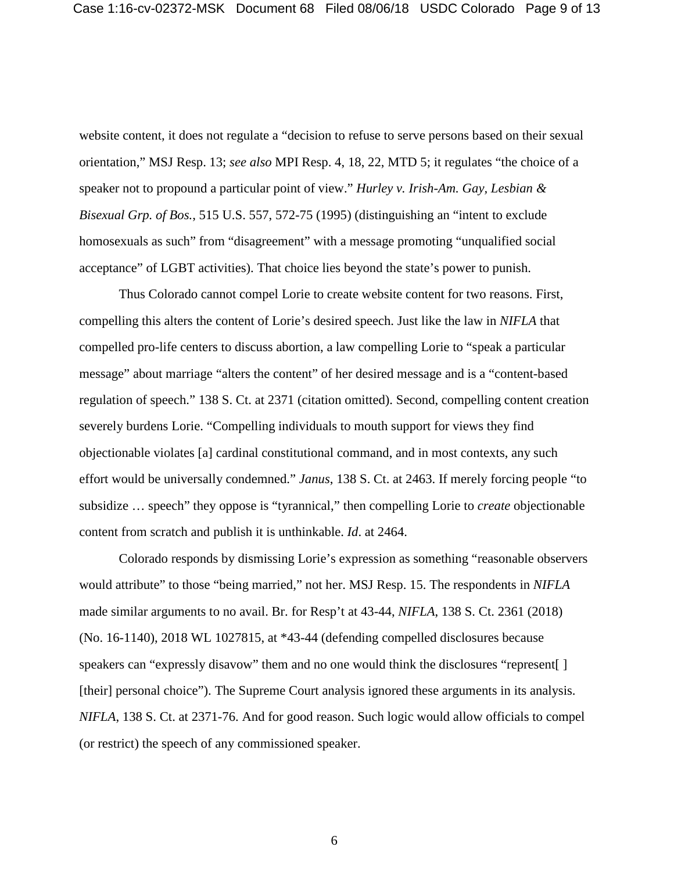website content, it does not regulate a "decision to refuse to serve persons based on their sexual orientation," MSJ Resp. 13; *see also* MPI Resp. 4, 18, 22, MTD 5; it regulates "the choice of a speaker not to propound a particular point of view." *Hurley v. Irish-Am. Gay, Lesbian & Bisexual Grp. of Bos.*, 515 U.S. 557, 572-75 (1995) (distinguishing an "intent to exclude homosexuals as such" from "disagreement" with a message promoting "unqualified social acceptance" of LGBT activities). That choice lies beyond the state's power to punish.

Thus Colorado cannot compel Lorie to create website content for two reasons. First, compelling this alters the content of Lorie's desired speech. Just like the law in *NIFLA* that compelled pro-life centers to discuss abortion, a law compelling Lorie to "speak a particular message" about marriage "alters the content" of her desired message and is a "content-based regulation of speech." 138 S. Ct. at 2371 (citation omitted). Second, compelling content creation severely burdens Lorie. "Compelling individuals to mouth support for views they find objectionable violates [a] cardinal constitutional command, and in most contexts, any such effort would be universally condemned." *Janus*, 138 S. Ct. at 2463. If merely forcing people "to subsidize … speech" they oppose is "tyrannical," then compelling Lorie to *create* objectionable content from scratch and publish it is unthinkable. *Id*. at 2464.

Colorado responds by dismissing Lorie's expression as something "reasonable observers would attribute" to those "being married," not her. MSJ Resp. 15. The respondents in *NIFLA* made similar arguments to no avail. Br. for Resp't at 43-44, *NIFLA*, 138 S. Ct. 2361 (2018) (No. 16-1140), 2018 WL 1027815, at \*43-44 (defending compelled disclosures because speakers can "expressly disavow" them and no one would think the disclosures "represent[ ] [their] personal choice"). The Supreme Court analysis ignored these arguments in its analysis. *NIFLA*, 138 S. Ct. at 2371-76. And for good reason. Such logic would allow officials to compel (or restrict) the speech of any commissioned speaker.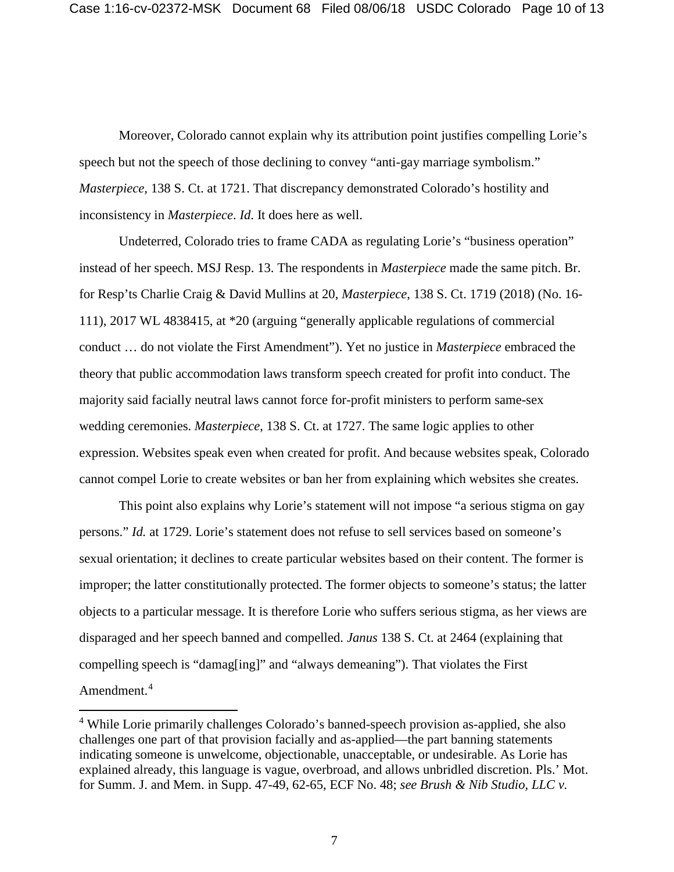Moreover, Colorado cannot explain why its attribution point justifies compelling Lorie's speech but not the speech of those declining to convey "anti-gay marriage symbolism." *Masterpiece,* 138 S. Ct. at 1721. That discrepancy demonstrated Colorado's hostility and inconsistency in *Masterpiece*. *Id*. It does here as well.

Undeterred, Colorado tries to frame CADA as regulating Lorie's "business operation" instead of her speech. MSJ Resp. 13. The respondents in *Masterpiece* made the same pitch. Br. for Resp'ts Charlie Craig & David Mullins at 20, *Masterpiece*, 138 S. Ct. 1719 (2018) (No. 16- 111), 2017 WL 4838415, at \*20 (arguing "generally applicable regulations of commercial conduct … do not violate the First Amendment"). Yet no justice in *Masterpiece* embraced the theory that public accommodation laws transform speech created for profit into conduct. The majority said facially neutral laws cannot force for-profit ministers to perform same-sex wedding ceremonies. *Masterpiece*, 138 S. Ct. at 1727. The same logic applies to other expression. Websites speak even when created for profit. And because websites speak, Colorado cannot compel Lorie to create websites or ban her from explaining which websites she creates.

This point also explains why Lorie's statement will not impose "a serious stigma on gay persons." *Id.* at 1729. Lorie's statement does not refuse to sell services based on someone's sexual orientation; it declines to create particular websites based on their content. The former is improper; the latter constitutionally protected. The former objects to someone's status; the latter objects to a particular message. It is therefore Lorie who suffers serious stigma, as her views are disparaged and her speech banned and compelled. *Janus* 138 S. Ct. at 2464 (explaining that compelling speech is "damag[ing]" and "always demeaning"). That violates the First Amendment.<sup>4</sup>

 <sup>4</sup> While Lorie primarily challenges Colorado's banned-speech provision as-applied, she also challenges one part of that provision facially and as-applied—the part banning statements indicating someone is unwelcome, objectionable, unacceptable, or undesirable. As Lorie has explained already, this language is vague, overbroad, and allows unbridled discretion. Pls.' Mot. for Summ. J. and Mem. in Supp. 47-49, 62-65, ECF No. 48; *see Brush & Nib Studio, LLC v.*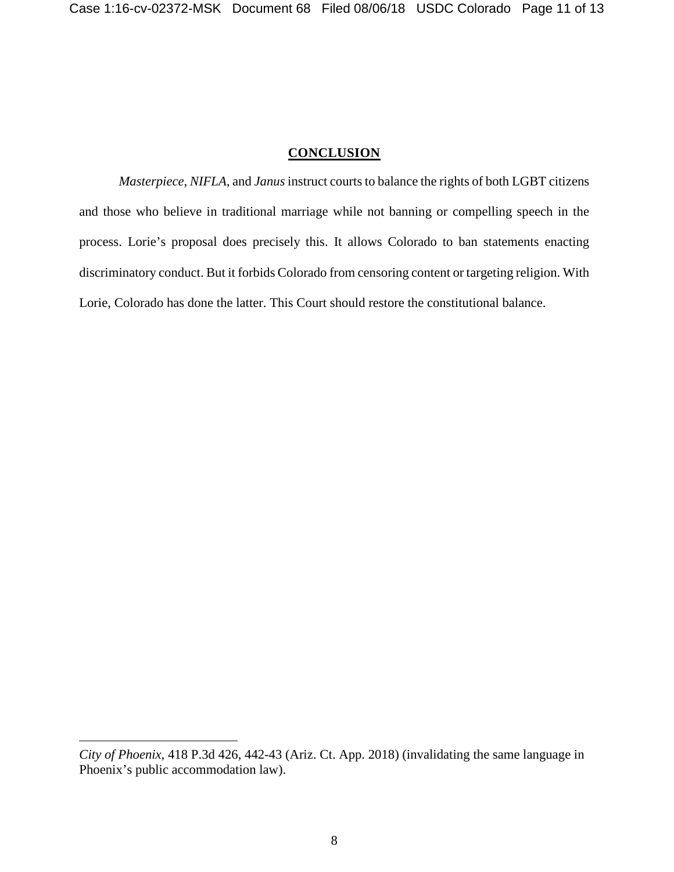#### **CONCLUSION**

*Masterpiece*, *NIFLA*, and *Janus* instruct courts to balance the rights of both LGBT citizens and those who believe in traditional marriage while not banning or compelling speech in the process. Lorie's proposal does precisely this. It allows Colorado to ban statements enacting discriminatory conduct. But it forbids Colorado from censoring content or targeting religion. With Lorie, Colorado has done the latter. This Court should restore the constitutional balance.

 $\overline{a}$ 

*City of Phoenix*, 418 P.3d 426, 442-43 (Ariz. Ct. App. 2018) (invalidating the same language in Phoenix's public accommodation law).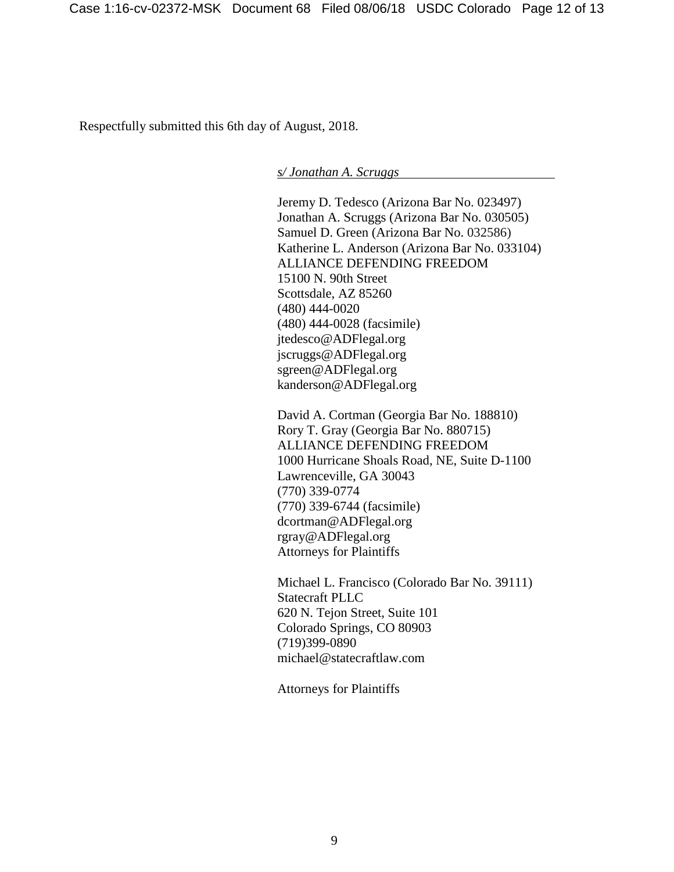Respectfully submitted this 6th day of August, 2018.

*s/ Jonathan A. Scruggs*

Jeremy D. Tedesco (Arizona Bar No. 023497) Jonathan A. Scruggs (Arizona Bar No. 030505) Samuel D. Green (Arizona Bar No. 032586) Katherine L. Anderson (Arizona Bar No. 033104) ALLIANCE DEFENDING FREEDOM 15100 N. 90th Street Scottsdale, AZ 85260 (480) 444-0020 (480) 444-0028 (facsimile) jtedesco@ADFlegal.org jscruggs@ADFlegal.org sgreen@ADFlegal.org kanderson@ADFlegal.org

David A. Cortman (Georgia Bar No. 188810) Rory T. Gray (Georgia Bar No. 880715) ALLIANCE DEFENDING FREEDOM 1000 Hurricane Shoals Road, NE, Suite D-1100 Lawrenceville, GA 30043 (770) 339-0774 (770) 339-6744 (facsimile) dcortman@ADFlegal.org rgray@ADFlegal.org Attorneys for Plaintiffs

Michael L. Francisco (Colorado Bar No. 39111) Statecraft PLLC 620 N. Tejon Street, Suite 101 Colorado Springs, CO 80903 (719)399-0890 michael@statecraftlaw.com

Attorneys for Plaintiffs